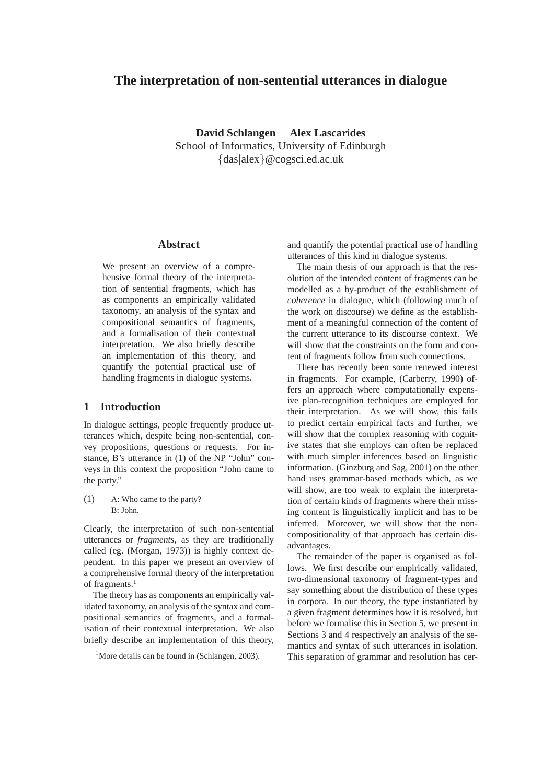# **The interpretation of non-sentential utterances in dialogue**

**David Schlangen Alex Lascarides** School of Informatics, University of Edinburgh {das|alex}@cogsci.ed.ac.uk

## **Abstract**

We present an overview of a comprehensive formal theory of the interpretation of sentential fragments, which has as components an empirically validated taxonomy, an analysis of the syntax and compositional semantics of fragments, and a formalisation of their contextual interpretation. We also briefly describe an implementation of this theory, and quantify the potential practical use of handling fragments in dialogue systems.

## **1 Introduction**

In dialogue settings, people frequently produce utterances which, despite being non-sentential, convey propositions, questions or requests. For instance, B's utterance in (1) of the NP "John" conveys in this context the proposition "John came to the party."

(1) A: Who came to the party? B: John.

Clearly, the interpretation of such non-sentential utterances or *fragments*, as they are traditionally called (eg. (Morgan, 1973)) is highly context dependent. In this paper we present an overview of a comprehensive formal theory of the interpretation of fragments.<sup>1</sup>

The theory has as components an empirically validated taxonomy, an analysis of the syntax and compositional semantics of fragments, and a formalisation of their contextual interpretation. We also briefly describe an implementation of this theory, and quantify the potential practical use of handling utterances of this kind in dialogue systems.

The main thesis of our approach is that the resolution of the intended content of fragments can be modelled as a by-product of the establishment of *coherence* in dialogue, which (following much of the work on discourse) we define as the establishment of a meaningful connection of the content of the current utterance to its discourse context. We will show that the constraints on the form and content of fragments follow from such connections.

There has recently been some renewed interest in fragments. For example, (Carberry, 1990) offers an approach where computationally expensive plan-recognition techniques are employed for their interpretation. As we will show, this fails to predict certain empirical facts and further, we will show that the complex reasoning with cognitive states that she employs can often be replaced with much simpler inferences based on linguistic information. (Ginzburg and Sag, 2001) on the other hand uses grammar-based methods which, as we will show, are too weak to explain the interpretation of certain kinds of fragments where their missing content is linguistically implicit and has to be inferred. Moreover, we will show that the noncompositionality of that approach has certain disadvantages.

The remainder of the paper is organised as follows. We first describe our empirically validated, two-dimensional taxonomy of fragment-types and say something about the distribution of these types in corpora. In our theory, the type instantiated by a given fragment determines how it is resolved, but before we formalise this in Section 5, we present in Sections 3 and 4 respectively an analysis of the semantics and syntax of such utterances in isolation. This separation of grammar and resolution has cer-

<sup>&</sup>lt;sup>1</sup>More details can be found in (Schlangen, 2003).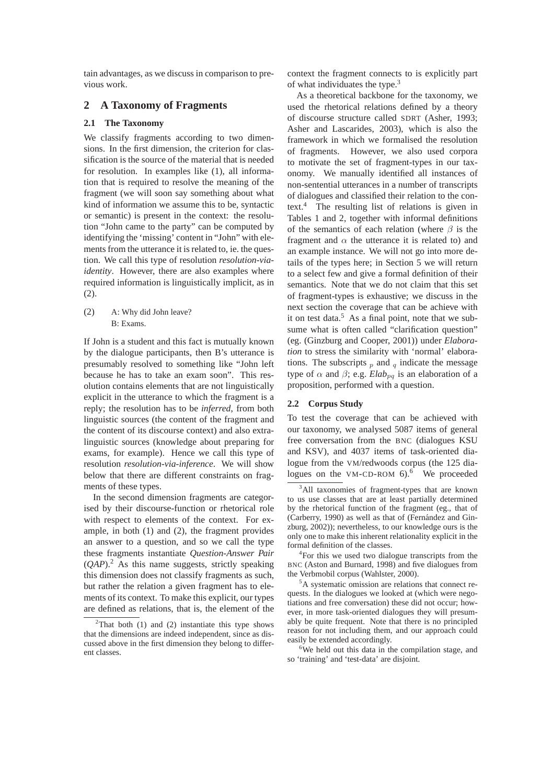tain advantages, as we discuss in comparison to previous work.

## **2 A Taxonomy of Fragments**

#### **2.1 The Taxonomy**

We classify fragments according to two dimensions. In the first dimension, the criterion for classification is the source of the material that is needed for resolution. In examples like (1), all information that is required to resolve the meaning of the fragment (we will soon say something about what kind of information we assume this to be, syntactic or semantic) is present in the context: the resolution "John came to the party" can be computed by identifying the 'missing' content in "John" with elements from the utterance it is related to, ie. the question. We call this type of resolution *resolution-viaidentity*. However, there are also examples where required information is linguistically implicit, as in (2).

### (2) A: Why did John leave? B: Exams.

If John is a student and this fact is mutually known by the dialogue participants, then B's utterance is presumably resolved to something like "John left because he has to take an exam soon". This resolution contains elements that are not linguistically explicit in the utterance to which the fragment is a reply; the resolution has to be *inferred*, from both linguistic sources (the content of the fragment and the content of its discourse context) and also extralinguistic sources (knowledge about preparing for exams, for example). Hence we call this type of resolution *resolution-via-inference*. We will show below that there are different constraints on fragments of these types.

In the second dimension fragments are categorised by their discourse-function or rhetorical role with respect to elements of the context. For example, in both (1) and (2), the fragment provides an answer to a question, and so we call the type these fragments instantiate *Question-Answer Pair*  $(OAP)^2$ . As this name suggests, strictly speaking this dimension does not classify fragments as such, but rather the relation a given fragment has to elements of its context. To make this explicit, our types are defined as relations, that is, the element of the

context the fragment connects to is explicitly part of what individuates the type.3

As a theoretical backbone for the taxonomy, we used the rhetorical relations defined by a theory of discourse structure called SDRT (Asher, 1993; Asher and Lascarides, 2003), which is also the framework in which we formalised the resolution of fragments. However, we also used corpora to motivate the set of fragment-types in our taxonomy. We manually identified all instances of non-sentential utterances in a number of transcripts of dialogues and classified their relation to the context.<sup>4</sup> The resulting list of relations is given in Tables 1 and 2, together with informal definitions of the semantics of each relation (where  $\beta$  is the fragment and  $\alpha$  the utterance it is related to) and an example instance. We will not go into more details of the types here; in Section 5 we will return to a select few and give a formal definition of their semantics. Note that we do not claim that this set of fragment-types is exhaustive; we discuss in the next section the coverage that can be achieve with it on test data.<sup>5</sup> As a final point, note that we subsume what is often called "clarification question" (eg. (Ginzburg and Cooper, 2001)) under *Elaboration* to stress the similarity with 'normal' elaborations. The subscripts  $_p$  and  $_q$  indicate the message type of  $\alpha$  and  $\beta$ ; e.g. *Elab<sub>pq</sub>* is an elaboration of a proposition, performed with a question.

#### **2.2 Corpus Study**

To test the coverage that can be achieved with our taxonomy, we analysed 5087 items of general free conversation from the BNC (dialogues KSU and KSV), and 4037 items of task-oriented dialogue from the VM/redwoods corpus (the 125 dialogues on the VM-CD-ROM  $6$ .<sup>6</sup> We proceeded

<sup>6</sup>We held out this data in the compilation stage, and so 'training' and 'test-data' are disjoint.

<sup>&</sup>lt;sup>2</sup>That both (1) and (2) instantiate this type shows that the dimensions are indeed independent, since as discussed above in the first dimension they belong to different classes.

<sup>&</sup>lt;sup>3</sup>All taxonomies of fragment-types that are known to us use classes that are at least partially determined by the rhetorical function of the fragment (eg., that of (Carberry, 1990) as well as that of (Fernández and Ginzburg, 2002)); nevertheless, to our knowledge ours is the only one to make this inherent relationality explicit in the formal definition of the classes.

<sup>&</sup>lt;sup>4</sup>For this we used two dialogue transcripts from the BNC (Aston and Burnard, 1998) and five dialogues from the Verbmobil corpus (Wahlster, 2000).

<sup>&</sup>lt;sup>5</sup>A systematic omission are relations that connect requests. In the dialogues we looked at (which were negotiations and free conversation) these did not occur; however, in more task-oriented dialogues they will presumably be quite frequent. Note that there is no principled reason for not including them, and our approach could easily be extended accordingly.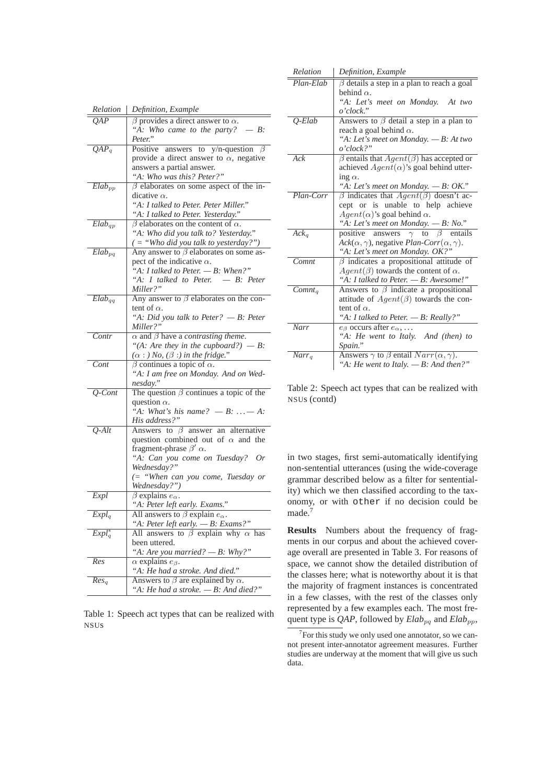| Relation               | Definition, Example                                                              |
|------------------------|----------------------------------------------------------------------------------|
| OAP                    | $\beta$ provides a direct answer to $\alpha$ .                                   |
|                        | "A: Who came to the party? $- B$ :                                               |
|                        | Peter."                                                                          |
| $\overline{QAP_q}$     | answers to y/n-question $\beta$<br>Positive                                      |
|                        | provide a direct answer to $\alpha$ , negative                                   |
|                        | answers a partial answer.                                                        |
|                        | "A: Who was this? Peter?"                                                        |
| $\overline{Elab}_{pp}$ | $\beta$ elaborates on some aspect of the in-                                     |
|                        | dicative $\alpha$ .                                                              |
|                        | "A: I talked to Peter. Peter Miller."                                            |
|                        | "A: I talked to Peter. Yesterday."                                               |
| $Elab_{qp}$            | $\beta$ elaborates on the content of $\alpha$ .                                  |
|                        | "A: Who did you talk to? Yesterday."                                             |
|                        | ( = "Who did you talk to yesterday?")                                            |
| $Elab_{pq}$            | Any answer to $\beta$ elaborates on some as-                                     |
|                        | pect of the indicative $\alpha$ .                                                |
|                        | "A: I talked to Peter. $-B$ : When?"                                             |
|                        | "A: I talked to Peter. $- B$ : Peter                                             |
|                        | Miller?"                                                                         |
| $Elab_{qq}$            | Any answer to $\beta$ elaborates on the con-                                     |
|                        | tent of $\alpha$ .                                                               |
|                        | "A: Did you talk to Peter? $-B$ : Peter                                          |
|                        | Miller?"                                                                         |
| Contr                  | $\alpha$ and $\beta$ have a <i>contrasting theme</i> .                           |
|                        | "(A: Are they in the cupboard?) - B:                                             |
|                        | $(\alpha :)$ No, $(\beta :)$ in the fridge."                                     |
| Cont                   | $\beta$ continues a topic of $\alpha$ .                                          |
|                        | "A: I am free on Monday. And on Wed-                                             |
|                        | nesday."                                                                         |
| $Q$ -Cont              | The question $\beta$ continues a topic of the                                    |
|                        | question $\alpha$ .                                                              |
|                        | "A: What's his name? $-B: \ldots - A$ :                                          |
|                        | His address?"                                                                    |
| $Q$ -Alt               | Answers to $\beta$ answer an alternative                                         |
|                        | question combined out of $\alpha$ and the<br>fragment-phrase $\beta'$ $\alpha$ . |
|                        | "A: Can you come on Tuesday? Or                                                  |
|                        | Wednesday?"                                                                      |
|                        | (= "When can you come, Tuesday or                                                |
|                        | Wednesday?")                                                                     |
| Expl                   | $\beta$ explains $e_{\alpha}$ .                                                  |
|                        | "A: Peter left early. Exams."                                                    |
| $Expl_q$               | All answers to $\beta$ explain $e_{\alpha}$ .                                    |
|                        | "A: Peter left early. $-B$ : Exams?"                                             |
| $Expl_q^*$             | All answers to $\beta$ explain why $\alpha$ has                                  |
|                        | been uttered.                                                                    |
|                        | "A: Are you married? $-B$ : Why?"                                                |
| Res                    | $\alpha$ explains $e_{\beta}$ .                                                  |
|                        | "A: He had a stroke. And died."                                                  |
| Res <sub>a</sub>       | Answers to $\beta$ are explained by $\alpha$ .                                   |
|                        | "A: He had a stroke. $-B$ : And died?"                                           |

Table 1: Speech act types that can be realized with NSUs

| Relation     | Definition, Example                                                    |
|--------------|------------------------------------------------------------------------|
| $Plan$ -Elab | $\beta$ details a step in a plan to reach a goal                       |
|              | behind $\alpha$ .                                                      |
|              | "A: Let's meet on Monday. At two                                       |
|              | o'clock."                                                              |
| $Q$ -Elab    | Answers to $\beta$ detail a step in a plan to                          |
|              | reach a goal behind $\alpha$ .                                         |
|              | "A: Let's meet on Monday. $-B$ : At two                                |
|              | o'clock?"                                                              |
| Ack          | $\beta$ entails that $Agent(\beta)$ has accepted or                    |
|              | achieved $Agent(\alpha)$ 's goal behind utter-                         |
|              | ing $\alpha$ .                                                         |
|              | "A: Let's meet on Monday. $-B$ : OK."                                  |
| Plan-Corr    | $\beta$ indicates that $Agent(\beta)$ doesn't ac-                      |
|              | cept or is unable to help achieve                                      |
|              | $Agent(\alpha)$ 's goal behind $\alpha$ .                              |
|              | "A: Let's meet on Monday. $-B: No."$                                   |
| $Ack_a$      | positive answers $\gamma$ to $\beta$ entails                           |
|              | $ack(\alpha, \gamma)$ , negative <i>Plan-Corr</i> $(\alpha, \gamma)$ . |
|              | "A: Let's meet on Monday. OK?"                                         |
| Comnt        | $\beta$ indicates a propositional attitude of                          |
|              | $Agent(\beta)$ towards the content of $\alpha$ .                       |
|              | "A: I talked to Peter. - B: Awesome!"                                  |
| $Comnt_a$    | Answers to $\beta$ indicate a propositional                            |
|              | attitude of $Agent(\beta)$ towards the con-                            |
|              | tent of $\alpha$ .                                                     |
|              | "A: I talked to Peter. - B: Really?"                                   |
| Narr         | $e_{\beta}$ occurs after $e_{\alpha}$ ,                                |
|              | "A: He went to Italy. And (then) to                                    |
|              | Spain."                                                                |
| $Narr_q$     | Answers $\gamma$ to $\beta$ entail $Narr(\alpha, \gamma)$ .            |
|              | "A: He went to Italy. $-B$ : And then?"                                |

Table 2: Speech act types that can be realized with NSUs (contd)

in two stages, first semi-automatically identifying non-sentential utterances (using the wide-coverage grammar described below as a filter for sententiality) which we then classified according to the taxonomy, or with other if no decision could be made.<sup>7</sup>

**Results** Numbers about the frequency of fragments in our corpus and about the achieved coverage overall are presented in Table 3. For reasons of space, we cannot show the detailed distribution of the classes here; what is noteworthy about it is that the majority of fragment instances is concentrated in a few classes, with the rest of the classes only represented by a few examples each. The most frequent type is *QAP*, followed by  $Elab_{pq}$  and  $Elab_{pp}$ ,

 $7$  For this study we only used one annotator, so we cannot present inter-annotator agreement measures. Further studies are underway at the moment that will give us such data.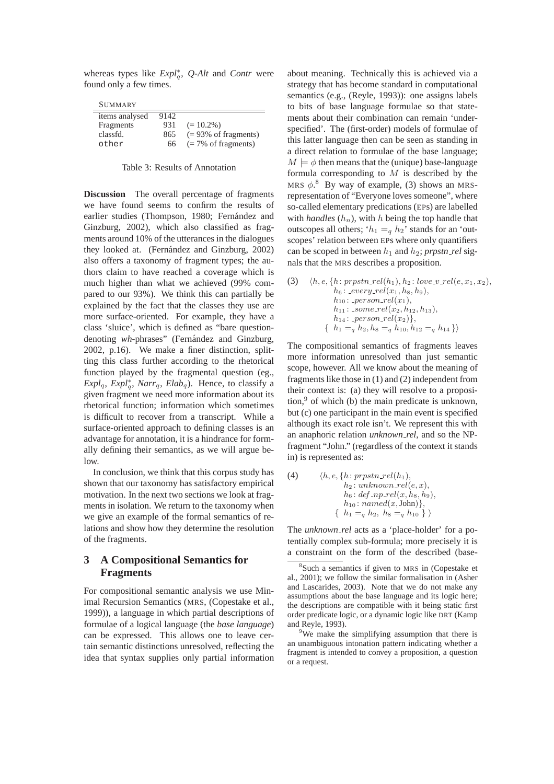whereas types like *Expl*<sup>∗</sup><sub>*q</sub>*, *Q*-*Alt* and *Contr* were</sub> found only a few times.

| MMAR |  |
|------|--|
|------|--|

| .              |      |                                 |  |  |
|----------------|------|---------------------------------|--|--|
| items analysed | 9142 |                                 |  |  |
| Fragments      | 931  | $(= 10.2\%)$                    |  |  |
| classfd.       | 865  | $(= 93\% \text{ of fragments})$ |  |  |
| other          | 66   | $(= 7\% \text{ of fragments})$  |  |  |

| Table 3: Results of Annotation |
|--------------------------------|
|--------------------------------|

**Discussion** The overall percentage of fragments we have found seems to confirm the results of earlier studies (Thompson, 1980; Fernández and Ginzburg, 2002), which also classified as fragments around 10% of the utterances in the dialogues they looked at. (Fernández and Ginzburg, 2002) also offers a taxonomy of fragment types; the authors claim to have reached a coverage which is much higher than what we achieved (99% compared to our 93%). We think this can partially be explained by the fact that the classes they use are more surface-oriented. For example, they have a class 'sluice', which is defined as "bare questiondenoting *wh*-phrases" (Fernández and Ginzburg, 2002, p.16). We make a finer distinction, splitting this class further according to the rhetorical function played by the fragmental question (eg.,  $Expl_q$ ,  $Expl_q^*$ ,  $Narr_q$ ,  $Elab_q$ ). Hence, to classify a given fragment we need more information about its rhetorical function; information which sometimes is difficult to recover from a transcript. While a surface-oriented approach to defining classes is an advantage for annotation, it is a hindrance for formally defining their semantics, as we will argue below.

In conclusion, we think that this corpus study has shown that our taxonomy has satisfactory empirical motivation. In the next two sections we look at fragments in isolation. We return to the taxonomy when we give an example of the formal semantics of relations and show how they determine the resolution of the fragments.

# **3 A Compositional Semantics for Fragments**

For compositional semantic analysis we use Minimal Recursion Semantics (MRS, (Copestake et al., 1999)), a language in which partial descriptions of formulae of a logical language (the *base language*) can be expressed. This allows one to leave certain semantic distinctions unresolved, reflecting the idea that syntax supplies only partial information about meaning. Technically this is achieved via a strategy that has become standard in computational semantics (e.g., (Reyle, 1993)): one assigns labels to bits of base language formulae so that statements about their combination can remain 'underspecified'. The (first-order) models of formulae of this latter language then can be seen as standing in a direct relation to formulae of the base language;  $M \models \phi$  then means that the (unique) base-language formula corresponding to  $M$  is described by the MRS  $\phi$ .<sup>8</sup> By way of example, (3) shows an MRSrepresentation of "Everyone loves someone", where so-called elementary predications (EPs) are labelled with *handles*  $(h_n)$ , with *h* being the top handle that outscopes all others; ' $h_1 =_q h_2$ ' stands for an 'outscopes' relation between EPs where only quantifiers can be scoped in between  $h_1$  and  $h_2$ ; *prpstn\_rel* signals that the MRS describes a proposition.

(3) 
$$
\langle h, e, \{h: prpstn_{rel}(h_1), h_2: love\_v_{rel}(e, x_1, x_2), h_6: _every_{rel}(x_1, h_8, h_9), h_{10}: _person_{rel}(x_1), h_{11}: _some_{rel}(x_2, h_{12}, h_{13}), h_{14}: _person_{rel}(x_2)\}, \{h_1 = q h_2, h_8 = q h_{10}, h_{12} = q h_{14}\}\rangle
$$

The compositional semantics of fragments leaves more information unresolved than just semantic scope, however. All we know about the meaning of fragments like those in (1) and (2) independent from their context is: (a) they will resolve to a proposition, $9$  of which (b) the main predicate is unknown, but (c) one participant in the main event is specified although its exact role isn't. We represent this with an anaphoric relation *unknown rel*, and so the NPfragment "John." (regardless of the context it stands in) is represented as:

(4) 
$$
\langle h, e, \{h: prpstn\_rel(h_1),\
$$

$$
h_2: unknown\_rel(e, x),
$$

$$
h_6: def\_np\_rel(x, h_8, h_9),
$$

$$
h_{10}: named(x, John)\},
$$

$$
\{h_1 = q h_2, h_8 = q h_{10}\}\rangle
$$

The *unknown rel* acts as a 'place-holder' for a potentially complex sub-formula; more precisely it is a constraint on the form of the described (base-

<sup>8</sup> Such a semantics if given to MRS in (Copestake et al., 2001); we follow the similar formalisation in (Asher and Lascarides, 2003). Note that we do not make any assumptions about the base language and its logic here; the descriptions are compatible with it being static first order predicate logic, or a dynamic logic like DRT (Kamp and Reyle, 1993).

<sup>&</sup>lt;sup>9</sup>We make the simplifying assumption that there is an unambiguous intonation pattern indicating whether a fragment is intended to convey a proposition, a question or a request.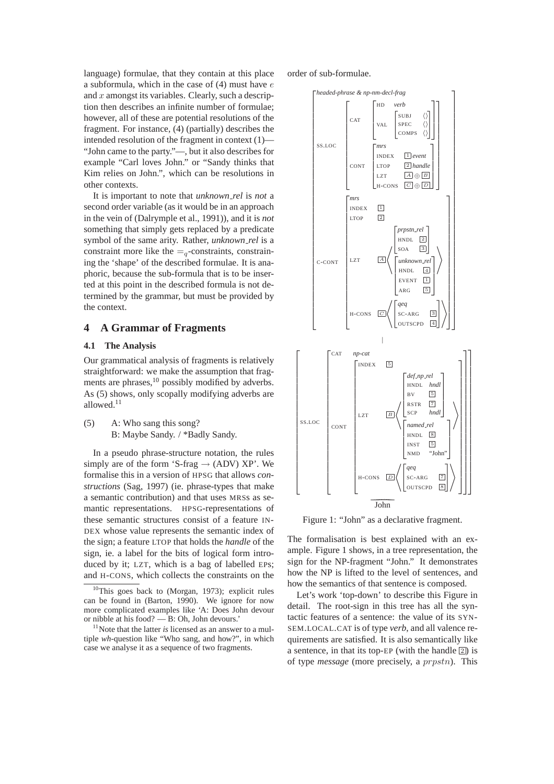language) formulae, that they contain at this place a subformula, which in the case of  $(4)$  must have  $e$ and  $x$  amongst its variables. Clearly, such a description then describes an infinite number of formulae; however, all of these are potential resolutions of the fragment. For instance, (4) (partially) describes the intended resolution of the fragment in context (1)— "John came to the party."—, but it also describes for example "Carl loves John." or "Sandy thinks that Kim relies on John.", which can be resolutions in other contexts.

It is important to note that *unknown rel* is *not* a second order variable (as it would be in an approach in the vein of (Dalrymple et al., 1991)), and it is *not* something that simply gets replaced by a predicate symbol of the same arity. Rather, *unknown rel* is a constraint more like the  $=$ <sub>q</sub>-constraints, constraining the 'shape' of the described formulae. It is anaphoric, because the sub-formula that is to be inserted at this point in the described formula is not determined by the grammar, but must be provided by the context.

#### **4 A Grammar of Fragments**

#### **4.1 The Analysis**

Our grammatical analysis of fragments is relatively straightforward: we make the assumption that fragments are phrases,<sup>10</sup> possibly modified by adverbs. As (5) shows, only scopally modifying adverbs are allowed.11

(5) A: Who sang this song? B: Maybe Sandy. / \*Badly Sandy.

In a pseudo phrase-structure notation, the rules simply are of the form 'S-frag  $\rightarrow$  (ADV) XP'. We formalise this in a version of HPSG that allows *constructions* (Sag, 1997) (ie. phrase-types that make a semantic contribution) and that uses MRSs as semantic representations. HPSG-representations of these semantic structures consist of a feature IN-DEX whose value represents the semantic index of the sign; a feature LTOP that holds the *handle* of the sign, ie. a label for the bits of logical form introduced by it; LZT, which is a bag of labelled EPs; and H-CONS, which collects the constraints on the order of sub-formulae.



Figure 1: "John" as a declarative fragment.

The formalisation is best explained with an example. Figure 1 shows, in a tree representation, the sign for the NP-fragment "John." It demonstrates how the NP is lifted to the level of sentences, and how the semantics of that sentence is composed.

Let's work 'top-down' to describe this Figure in detail. The root-sign in this tree has all the syntactic features of a sentence: the value of its SYN-SEM.LOCAL.CAT is of type *verb*, and all valence requirements are satisfied. It is also semantically like a sentence, in that its top-EP (with the handle  $\boxed{2}$ ) is of type *message* (more precisely, a prpstn). This

 $10$ This goes back to (Morgan, 1973); explicit rules can be found in (Barton, 1990). We ignore for now more complicated examples like 'A: Does John devour or nibble at his food? — B: Oh, John devours.'

<sup>&</sup>lt;sup>11</sup>Note that the latter *is* licensed as an answer to a multiple *wh*-question like "Who sang, and how?", in which case we analyse it as a sequence of two fragments.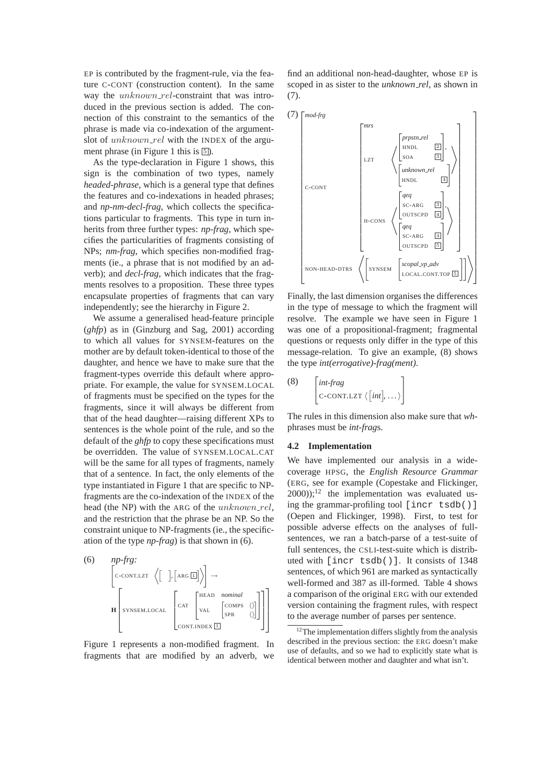EP is contributed by the fragment-rule, via the feature C-CONT (construction content). In the same way the *unknown\_rel*-constraint that was introduced in the previous section is added. The connection of this constraint to the semantics of the phrase is made via co-indexation of the argumentslot of  $unknown\_rel$  with the INDEX of the argument phrase (in Figure 1 this is  $\overline{5}$ ).

As the type-declaration in Figure 1 shows, this sign is the combination of two types, namely *headed-phrase*, which is a general type that defines the features and co-indexations in headed phrases; and *np-nm-decl-frag*, which collects the specifications particular to fragments. This type in turn inherits from three further types: *np-frag*, which specifies the particularities of fragments consisting of NPs; *nm-frag*, which specifies non-modified fragments (ie., a phrase that is not modified by an adverb); and *decl-frag*, which indicates that the fragments resolves to a proposition. These three types encapsulate properties of fragments that can vary independently; see the hierarchy in Figure 2.

We assume a generalised head-feature principle (*ghfp*) as in (Ginzburg and Sag, 2001) according to which all values for SYNSEM-features on the mother are by default token-identical to those of the daughter, and hence we have to make sure that the fragment-types override this default where appropriate. For example, the value for SYNSEM.LOCAL of fragments must be specified on the types for the fragments, since it will always be different from that of the head daughter—raising different XPs to sentences is the whole point of the rule, and so the default of the *ghfp* to copy these specifications must be overridden. The value of SYNSEM.LOCAL.CAT will be the same for all types of fragments, namely that of a sentence. In fact, the only elements of the type instantiated in Figure 1 that are specific to NPfragments are the co-indexation of the INDEX of the head (the NP) with the ARG of the  $unknown\_rel$ , and the restriction that the phrase be an NP. So the constraint unique to NP-fragments (ie., the specification of the type *np-frag*) is that shown in (6).

$$
\begin{bmatrix}\n\text{(6)} & np\text{-}\text{fg:} \\
\text{c-conr.LZT} & \langle \begin{bmatrix} 1 \\ 0 \end{bmatrix}, \begin{bmatrix} \text{ARG } \overline{\mathbf{u}} \end{bmatrix} \rangle\n\end{bmatrix} \rightarrow\n\begin{bmatrix}\n\text{SYNSEM.LOCAL} & \begin{bmatrix}\n\text{CAT} & \begin{bmatrix}\n\text{HEAD nominal} & \\
\text{VAL} & \begin{bmatrix}\n\text{COMPS} & \langle \rangle \\
\text{SPR} & \langle \rangle\n\end{bmatrix}\n\end{bmatrix}\n\end{bmatrix}
$$

Figure 1 represents a non-modified fragment. In fragments that are modified by an adverb, we

find an additional non-head-daughter, whose EP is scoped in as sister to the *unknown rel*, as shown in (7).



Finally, the last dimension organises the differences in the type of message to which the fragment will resolve. The example we have seen in Figure 1 was one of a propositional-fragment; fragmental questions or requests only differ in the type of this message-relation. To give an example, (8) shows the type *int(errogative)-frag(ment)*.

$$
\begin{bmatrix} int\text{-}frag \\ \text{c-contr.} Iz \setminus [int], \dots \end{bmatrix}
$$

The rules in this dimension also make sure that *wh*phrases must be *int-frag*s.

#### **4.2 Implementation**

We have implemented our analysis in a widecoverage HPSG, the *English Resource Grammar* (ERG, see for example (Copestake and Flickinger,  $(2000)$ ;<sup>12</sup> the implementation was evaluated using the grammar-profiling tool [incr tsdb()] (Oepen and Flickinger, 1998). First, to test for possible adverse effects on the analyses of fullsentences, we ran a batch-parse of a test-suite of full sentences, the CSLI-test-suite which is distributed with [incr tsdb()]. It consists of 1348 sentences, of which 961 are marked as syntactically well-formed and 387 as ill-formed. Table 4 shows a comparison of the original ERG with our extended version containing the fragment rules, with respect to the average number of parses per sentence.

 $12$ The implementation differs slightly from the analysis described in the previous section: the ERG doesn't make use of defaults, and so we had to explicitly state what is identical between mother and daughter and what isn't.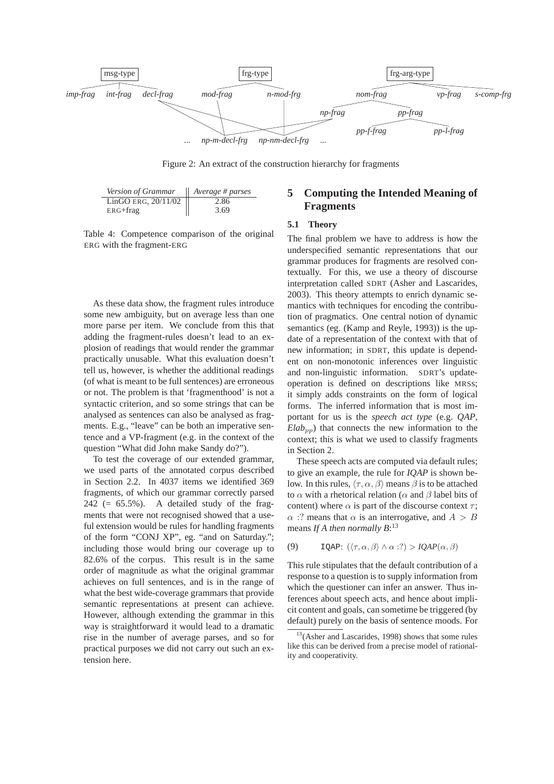

Figure 2: An extract of the construction hierarchy for fragments

| Version of Grammar    | Average # parses |
|-----------------------|------------------|
| LinGO ERG, $20/11/02$ | 2.86             |
| $ERG + frag$          | 3.69             |

Table 4: Competence comparison of the original ERG with the fragment-ERG

As these data show, the fragment rules introduce some new ambiguity, but on average less than one more parse per item. We conclude from this that adding the fragment-rules doesn't lead to an explosion of readings that would render the grammar practically unusable. What this evaluation doesn't tell us, however, is whether the additional readings (of what is meant to be full sentences) are erroneous or not. The problem is that 'fragmenthood' is not a syntactic criterion, and so some strings that can be analysed as sentences can also be analysed as fragments. E.g., "leave" can be both an imperative sentence and a VP-fragment (e.g. in the context of the question "What did John make Sandy do?").

To test the coverage of our extended grammar, we used parts of the annotated corpus described in Section 2.2. In 4037 items we identified 369 fragments, of which our grammar correctly parsed  $242$  (= 65.5%). A detailed study of the fragments that were not recognised showed that a useful extension would be rules for handling fragments of the form "CONJ XP", eg. "and on Saturday."; including those would bring our coverage up to 82.6% of the corpus. This result is in the same order of magnitude as what the original grammar achieves on full sentences, and is in the range of what the best wide-coverage grammars that provide semantic representations at present can achieve. However, although extending the grammar in this way is straightforward it would lead to a dramatic rise in the number of average parses, and so for practical purposes we did not carry out such an extension here.

# **5 Computing the Intended Meaning of Fragments**

#### **5.1 Theory**

The final problem we have to address is how the underspecified semantic representations that our grammar produces for fragments are resolved contextually. For this, we use a theory of discourse interpretation called SDRT (Asher and Lascarides, 2003). This theory attempts to enrich dynamic semantics with techniques for encoding the contribution of pragmatics. One central notion of dynamic semantics (eg. (Kamp and Reyle, 1993)) is the update of a representation of the context with that of new information; in SDRT, this update is dependent on non-monotonic inferences over linguistic and non-linguistic information. SDRT's updateoperation is defined on descriptions like MRSs; it simply adds constraints on the form of logical forms. The inferred information that is most important for us is the *speech act type* (e.g. *QAP*,  $E$ *lab*<sub>pp</sub>) that connects the new information to the context; this is what we used to classify fragments in Section 2.

These speech acts are computed via default rules; to give an example, the rule for *IQAP* is shown below. In this rules,  $\langle \tau, \alpha, \beta \rangle$  means  $\beta$  is to be attached to  $\alpha$  with a rhetorical relation ( $\alpha$  and  $\beta$  label bits of content) where  $\alpha$  is part of the discourse context  $\tau$ ;  $\alpha$  :? means that  $\alpha$  is an interrogative, and  $A > B$ means *If A then normally B*: 13

(9) IQAP:  $(\langle \tau, \alpha, \beta \rangle \wedge \alpha : ?) > IQAP(\alpha, \beta)$ 

This rule stipulates that the default contribution of a response to a question is to supply information from which the questioner can infer an answer. Thus inferences about speech acts, and hence about implicit content and goals, can sometime be triggered (by default) purely on the basis of sentence moods. For

<sup>&</sup>lt;sup>13</sup>(Asher and Lascarides, 1998) shows that some rules like this can be derived from a precise model of rationality and cooperativity.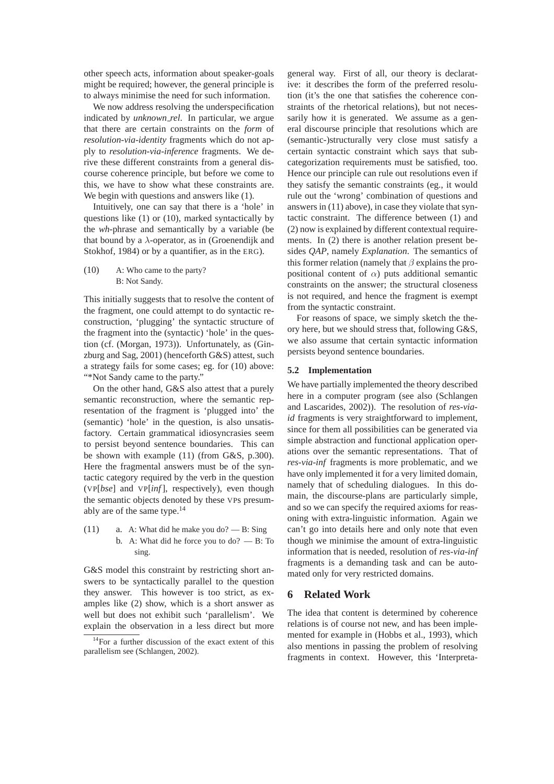other speech acts, information about speaker-goals might be required; however, the general principle is to always minimise the need for such information.

We now address resolving the underspecification indicated by *unknown rel*. In particular, we argue that there are certain constraints on the *form* of *resolution-via-identity* fragments which do not apply to *resolution-via-inference* fragments. We derive these different constraints from a general discourse coherence principle, but before we come to this, we have to show what these constraints are. We begin with questions and answers like  $(1)$ .

Intuitively, one can say that there is a 'hole' in questions like (1) or (10), marked syntactically by the *wh*-phrase and semantically by a variable (be that bound by a  $\lambda$ -operator, as in (Groenendijk and Stokhof, 1984) or by a quantifier, as in the ERG).

(10) A: Who came to the party? B: Not Sandy.

This initially suggests that to resolve the content of the fragment, one could attempt to do syntactic reconstruction, 'plugging' the syntactic structure of the fragment into the (syntactic) 'hole' in the question (cf. (Morgan, 1973)). Unfortunately, as (Ginzburg and Sag, 2001) (henceforth G&S) attest, such a strategy fails for some cases; eg. for (10) above: "\*Not Sandy came to the party."

On the other hand, G&S also attest that a purely semantic reconstruction, where the semantic representation of the fragment is 'plugged into' the (semantic) 'hole' in the question, is also unsatisfactory. Certain grammatical idiosyncrasies seem to persist beyond sentence boundaries. This can be shown with example (11) (from G&S, p.300). Here the fragmental answers must be of the syntactic category required by the verb in the question (VP[*bse*] and VP[*inf*], respectively), even though the semantic objects denoted by these VPs presumably are of the same type.14

(11) a. A: What did he make you do?  $- B: Sing$ b. A: What did he force you to do? — B: To sing.

G&S model this constraint by restricting short answers to be syntactically parallel to the question they answer. This however is too strict, as examples like (2) show, which is a short answer as well but does not exhibit such 'parallelism'. We explain the observation in a less direct but more general way. First of all, our theory is declarative: it describes the form of the preferred resolution (it's the one that satisfies the coherence constraints of the rhetorical relations), but not necessarily how it is generated. We assume as a general discourse principle that resolutions which are (semantic-)structurally very close must satisfy a certain syntactic constraint which says that subcategorization requirements must be satisfied, too. Hence our principle can rule out resolutions even if they satisfy the semantic constraints (eg., it would rule out the 'wrong' combination of questions and answers in (11) above), in case they violate that syntactic constraint. The difference between (1) and (2) now is explained by different contextual requirements. In (2) there is another relation present besides *QAP*, namely *Explanation*. The semantics of this former relation (namely that  $\beta$  explains the propositional content of  $\alpha$ ) puts additional semantic constraints on the answer; the structural closeness is not required, and hence the fragment is exempt from the syntactic constraint.

For reasons of space, we simply sketch the theory here, but we should stress that, following G&S, we also assume that certain syntactic information persists beyond sentence boundaries.

#### **5.2 Implementation**

We have partially implemented the theory described here in a computer program (see also (Schlangen and Lascarides, 2002)). The resolution of *res-viaid* fragments is very straightforward to implement, since for them all possibilities can be generated via simple abstraction and functional application operations over the semantic representations. That of *res-via-inf* fragments is more problematic, and we have only implemented it for a very limited domain, namely that of scheduling dialogues. In this domain, the discourse-plans are particularly simple, and so we can specify the required axioms for reasoning with extra-linguistic information. Again we can't go into details here and only note that even though we minimise the amount of extra-linguistic information that is needed, resolution of *res-via-inf* fragments is a demanding task and can be automated only for very restricted domains.

## **6 Related Work**

The idea that content is determined by coherence relations is of course not new, and has been implemented for example in (Hobbs et al., 1993), which also mentions in passing the problem of resolving fragments in context. However, this 'Interpreta-

<sup>14</sup>For a further discussion of the exact extent of this parallelism see (Schlangen, 2002).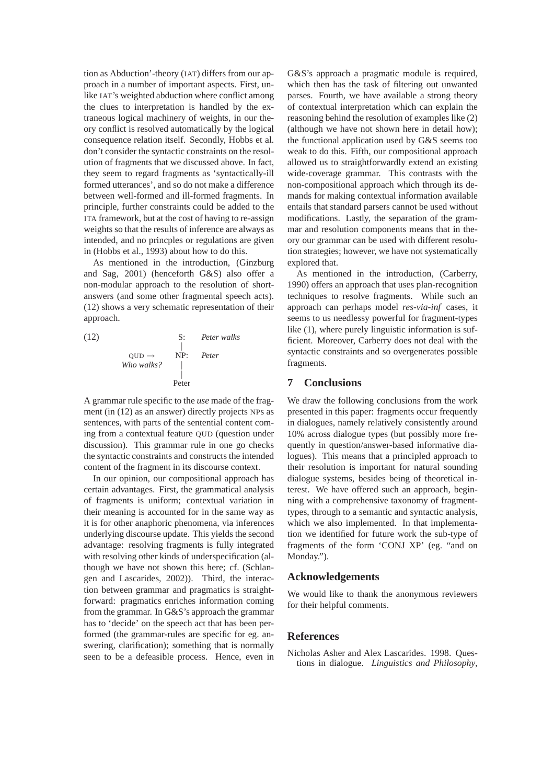tion as Abduction'-theory (IAT) differs from our approach in a number of important aspects. First, unlike IAT's weighted abduction where conflict among the clues to interpretation is handled by the extraneous logical machinery of weights, in our theory conflict is resolved automatically by the logical consequence relation itself. Secondly, Hobbs et al. don't consider the syntactic constraints on the resolution of fragments that we discussed above. In fact, they seem to regard fragments as 'syntactically-ill formed utterances', and so do not make a difference between well-formed and ill-formed fragments. In principle, further constraints could be added to the ITA framework, but at the cost of having to re-assign weights so that the results of inference are always as intended, and no princples or regulations are given in (Hobbs et al., 1993) about how to do this.

As mentioned in the introduction, (Ginzburg and Sag, 2001) (henceforth G&S) also offer a non-modular approach to the resolution of shortanswers (and some other fragmental speech acts). (12) shows a very schematic representation of their approach.

(12) S: Peter walks  
\n
$$
\begin{array}{ccc}\n & S: & Peter walks \\
 & | & \\
\hline\n& Who walks? & | & \n\end{array}
$$
\nPeter

A grammar rule specific to the *use* made of the fragment (in (12) as an answer) directly projects NPs as sentences, with parts of the sentential content coming from a contextual feature QUD (question under discussion). This grammar rule in one go checks the syntactic constraints and constructs the intended content of the fragment in its discourse context.

In our opinion, our compositional approach has certain advantages. First, the grammatical analysis of fragments is uniform; contextual variation in their meaning is accounted for in the same way as it is for other anaphoric phenomena, via inferences underlying discourse update. This yields the second advantage: resolving fragments is fully integrated with resolving other kinds of underspecification (although we have not shown this here; cf. (Schlangen and Lascarides, 2002)). Third, the interaction between grammar and pragmatics is straightforward: pragmatics enriches information coming from the grammar. In G&S's approach the grammar has to 'decide' on the speech act that has been performed (the grammar-rules are specific for eg. answering, clarification); something that is normally seen to be a defeasible process. Hence, even in G&S's approach a pragmatic module is required, which then has the task of filtering out unwanted parses. Fourth, we have available a strong theory of contextual interpretation which can explain the reasoning behind the resolution of examples like (2) (although we have not shown here in detail how); the functional application used by G&S seems too weak to do this. Fifth, our compositional approach allowed us to straightforwardly extend an existing wide-coverage grammar. This contrasts with the non-compositional approach which through its demands for making contextual information available entails that standard parsers cannot be used without modifications. Lastly, the separation of the grammar and resolution components means that in theory our grammar can be used with different resolution strategies; however, we have not systematically explored that.

As mentioned in the introduction, (Carberry, 1990) offers an approach that uses plan-recognition techniques to resolve fragments. While such an approach can perhaps model *res-via-inf* cases, it seems to us needlessy powerful for fragment-types like (1), where purely linguistic information is sufficient. Moreover, Carberry does not deal with the syntactic constraints and so overgenerates possible fragments.

## **7 Conclusions**

We draw the following conclusions from the work presented in this paper: fragments occur frequently in dialogues, namely relatively consistently around 10% across dialogue types (but possibly more frequently in question/answer-based informative dialogues). This means that a principled approach to their resolution is important for natural sounding dialogue systems, besides being of theoretical interest. We have offered such an approach, beginning with a comprehensive taxonomy of fragmenttypes, through to a semantic and syntactic analysis, which we also implemented. In that implementation we identified for future work the sub-type of fragments of the form 'CONJ XP' (eg. "and on Monday.").

### **Acknowledgements**

We would like to thank the anonymous reviewers for their helpful comments.

### **References**

Nicholas Asher and Alex Lascarides. 1998. Questions in dialogue. *Linguistics and Philosophy*,